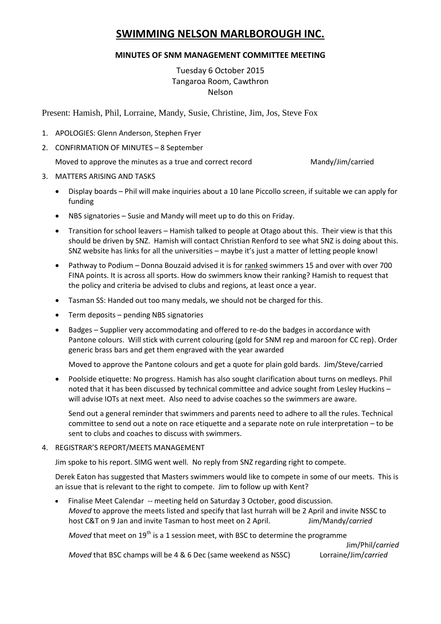# **SWIMMING NELSON MARLBOROUGH INC.**

## **MINUTES OF SNM MANAGEMENT COMMITTEE MEETING**

## Tuesday 6 October 2015 Tangaroa Room, Cawthron Nelson

Present: Hamish, Phil, Lorraine, Mandy, Susie, Christine, Jim, Jos, Steve Fox

- 1. APOLOGIES: Glenn Anderson, Stephen Fryer
- 2. CONFIRMATION OF MINUTES 8 September

Moved to approve the minutes as a true and correct record Mandy/Jim/carried

- 3. MATTERS ARISING AND TASKS
	- Display boards Phil will make inquiries about a 10 lane Piccollo screen, if suitable we can apply for funding
	- NBS signatories Susie and Mandy will meet up to do this on Friday.
	- Transition for school leavers Hamish talked to people at Otago about this. Their view is that this should be driven by SNZ. Hamish will contact Christian Renford to see what SNZ is doing about this. SNZ website has links for all the universities – maybe it's just a matter of letting people know!
	- Pathway to Podium Donna Bouzaid advised it is for ranked swimmers 15 and over with over 700 FINA points. It is across all sports. How do swimmers know their ranking? Hamish to request that the policy and criteria be advised to clubs and regions, at least once a year.
	- Tasman SS: Handed out too many medals, we should not be charged for this.
	- Term deposits pending NBS signatories
	- Badges Supplier very accommodating and offered to re-do the badges in accordance with Pantone colours. Will stick with current colouring (gold for SNM rep and maroon for CC rep). Order generic brass bars and get them engraved with the year awarded

Moved to approve the Pantone colours and get a quote for plain gold bards. Jim/Steve/carried

 Poolside etiquette: No progress. Hamish has also sought clarification about turns on medleys. Phil noted that it has been discussed by technical committee and advice sought from Lesley Huckins – will advise IOTs at next meet. Also need to advise coaches so the swimmers are aware.

Send out a general reminder that swimmers and parents need to adhere to all the rules. Technical committee to send out a note on race etiquette and a separate note on rule interpretation – to be sent to clubs and coaches to discuss with swimmers.

## 4. REGISTRAR'S REPORT/MEETS MANAGEMENT

Jim spoke to his report. SIMG went well. No reply from SNZ regarding right to compete.

Derek Eaton has suggested that Masters swimmers would like to compete in some of our meets. This is an issue that is relevant to the right to compete. Jim to follow up with Kent?

 Finalise Meet Calendar -- meeting held on Saturday 3 October, good discussion. *Moved* to approve the meets listed and specify that last hurrah will be 2 April and invite NSSC to host C&T on 9 Jan and invite Tasman to host meet on 2 April. Jim/Mandy/*carried*

*Moved* that meet on 19<sup>th</sup> is a 1 session meet, with BSC to determine the programme

*Moved* that BSC champs will be 4 & 6 Dec (same weekend as NSSC) Lorraine/Jim/*carried*

Jim/Phil/*carried*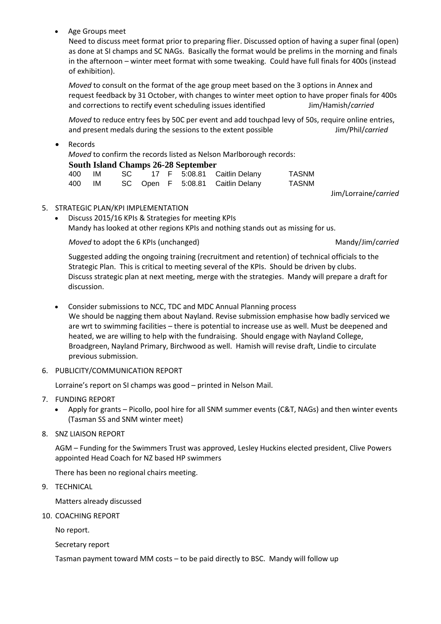Age Groups meet

Need to discuss meet format prior to preparing flier. Discussed option of having a super final (open) as done at SI champs and SC NAGs. Basically the format would be prelims in the morning and finals in the afternoon – winter meet format with some tweaking. Could have full finals for 400s (instead of exhibition).

*Moved* to consult on the format of the age group meet based on the 3 options in Annex and request feedback by 31 October, with changes to winter meet option to have proper finals for 400s and corrections to rectify event scheduling issues identified Jim/Hamish/*carried*

*Moved* to reduce entry fees by 50C per event and add touchpad levy of 50s, require online entries, and present medals during the sessions to the extent possible Jim/Phil/*carried*

• Records

*Moved* to confirm the records listed as Nelson Marlborough records: **South Island Champs 26-28 September**

|        | 400 IM |  |  | SC 17 F 5:08.81 Caitlin Delany   | TASNM |
|--------|--------|--|--|----------------------------------|-------|
| 400 IM |        |  |  | SC Open F 5:08.81 Caitlin Delany | TASNM |

Jim/Lorraine/*carried*

- 5. STRATEGIC PLAN/KPI IMPLEMENTATION
	- Discuss 2015/16 KPIs & Strategies for meeting KPIs Mandy has looked at other regions KPIs and nothing stands out as missing for us.

*Moved* to adopt the 6 KPIs (unchanged) Mandy/Jim/*carried* Mandy/Jim/*carried* 

Suggested adding the ongoing training (recruitment and retention) of technical officials to the Strategic Plan. This is critical to meeting several of the KPIs. Should be driven by clubs. Discuss strategic plan at next meeting, merge with the strategies. Mandy will prepare a draft for discussion.

- Consider submissions to NCC, TDC and MDC Annual Planning process We should be nagging them about Nayland. Revise submission emphasise how badly serviced we are wrt to swimming facilities – there is potential to increase use as well. Must be deepened and heated, we are willing to help with the fundraising. Should engage with Nayland College, Broadgreen, Nayland Primary, Birchwood as well. Hamish will revise draft, Lindie to circulate previous submission.
- 6. PUBLICITY/COMMUNICATION REPORT

Lorraine's report on SI champs was good – printed in Nelson Mail.

- 7. FUNDING REPORT
	- Apply for grants Picollo, pool hire for all SNM summer events (C&T, NAGs) and then winter events (Tasman SS and SNM winter meet)
- 8. SNZ LIAISON REPORT

AGM – Funding for the Swimmers Trust was approved, Lesley Huckins elected president, Clive Powers appointed Head Coach for NZ based HP swimmers

There has been no regional chairs meeting.

9. TECHNICAL

Matters already discussed

10. COACHING REPORT

No report.

Secretary report

Tasman payment toward MM costs – to be paid directly to BSC. Mandy will follow up